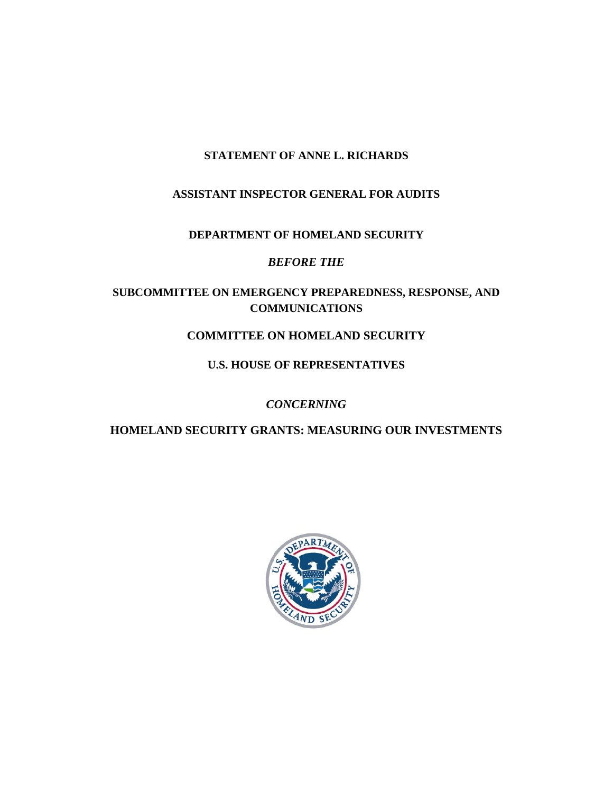# **STATEMENT OF ANNE L. RICHARDS**

# **ASSISTANT INSPECTOR GENERAL FOR AUDITS**

## **DEPARTMENT OF HOMELAND SECURITY**

## *BEFORE THE*

# **SUBCOMMITTEE ON EMERGENCY PREPAREDNESS, RESPONSE, AND COMMUNICATIONS**

# **COMMITTEE ON HOMELAND SECURITY**

# **U.S. HOUSE OF REPRESENTATIVES**

# *CONCERNING*

# **HOMELAND SECURITY GRANTS: MEASURING OUR INVESTMENTS**

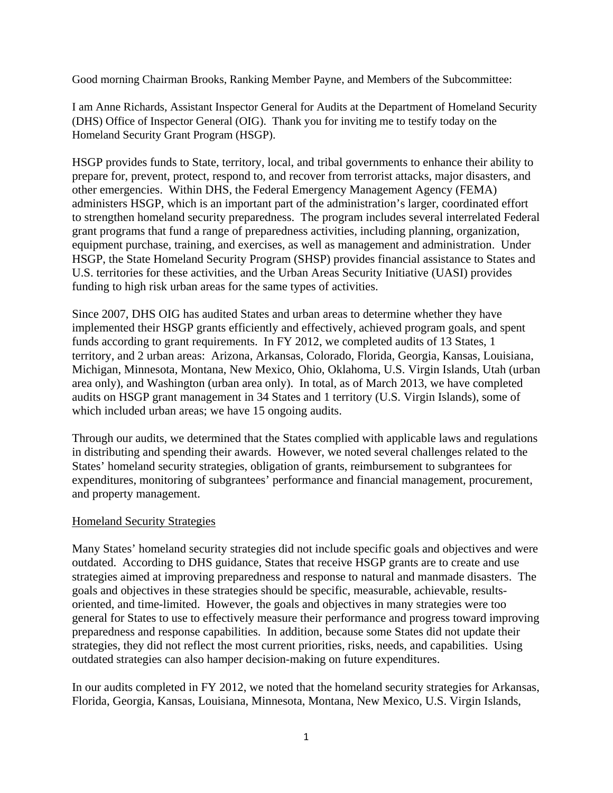Good morning Chairman Brooks, Ranking Member Payne, and Members of the Subcommittee:

I am Anne Richards, Assistant Inspector General for Audits at the Department of Homeland Security (DHS) Office of Inspector General (OIG). Thank you for inviting me to testify today on the Homeland Security Grant Program (HSGP).

HSGP provides funds to State, territory, local, and tribal governments to enhance their ability to prepare for, prevent, protect, respond to, and recover from terrorist attacks, major disasters, and other emergencies. Within DHS, the Federal Emergency Management Agency (FEMA) administers HSGP, which is an important part of the administration's larger, coordinated effort to strengthen homeland security preparedness. The program includes several interrelated Federal grant programs that fund a range of preparedness activities, including planning, organization, equipment purchase, training, and exercises, as well as management and administration. Under HSGP, the State Homeland Security Program (SHSP) provides financial assistance to States and U.S. territories for these activities, and the Urban Areas Security Initiative (UASI) provides funding to high risk urban areas for the same types of activities.

Since 2007, DHS OIG has audited States and urban areas to determine whether they have implemented their HSGP grants efficiently and effectively, achieved program goals, and spent funds according to grant requirements. In FY 2012, we completed audits of 13 States, 1 territory, and 2 urban areas: Arizona, Arkansas, Colorado, Florida, Georgia, Kansas, Louisiana, Michigan, Minnesota, Montana, New Mexico, Ohio, Oklahoma, U.S. Virgin Islands, Utah (urban area only), and Washington (urban area only). In total, as of March 2013, we have completed audits on HSGP grant management in 34 States and 1 territory (U.S. Virgin Islands), some of which included urban areas; we have 15 ongoing audits.

Through our audits, we determined that the States complied with applicable laws and regulations in distributing and spending their awards. However, we noted several challenges related to the States' homeland security strategies, obligation of grants, reimbursement to subgrantees for expenditures, monitoring of subgrantees' performance and financial management, procurement, and property management.

#### Homeland Security Strategies

Many States' homeland security strategies did not include specific goals and objectives and were outdated. According to DHS guidance, States that receive HSGP grants are to create and use strategies aimed at improving preparedness and response to natural and manmade disasters. The goals and objectives in these strategies should be specific, measurable, achievable, resultsoriented, and time-limited. However, the goals and objectives in many strategies were too general for States to use to effectively measure their performance and progress toward improving preparedness and response capabilities. In addition, because some States did not update their strategies, they did not reflect the most current priorities, risks, needs, and capabilities. Using outdated strategies can also hamper decision-making on future expenditures.

In our audits completed in FY 2012, we noted that the homeland security strategies for Arkansas, Florida, Georgia, Kansas, Louisiana, Minnesota, Montana, New Mexico, U.S. Virgin Islands,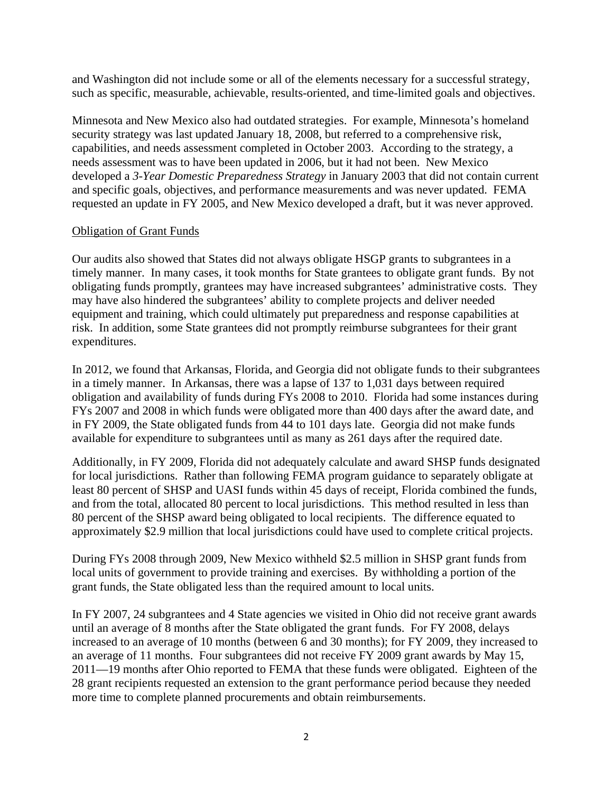and Washington did not include some or all of the elements necessary for a successful strategy, such as specific, measurable, achievable, results-oriented, and time-limited goals and objectives.

Minnesota and New Mexico also had outdated strategies. For example, Minnesota's homeland security strategy was last updated January 18, 2008, but referred to a comprehensive risk, capabilities, and needs assessment completed in October 2003. According to the strategy, a needs assessment was to have been updated in 2006, but it had not been. New Mexico developed a *3-Year Domestic Preparedness Strategy* in January 2003 that did not contain current and specific goals, objectives, and performance measurements and was never updated. FEMA requested an update in FY 2005, and New Mexico developed a draft, but it was never approved.

### Obligation of Grant Funds

Our audits also showed that States did not always obligate HSGP grants to subgrantees in a timely manner. In many cases, it took months for State grantees to obligate grant funds. By not obligating funds promptly, grantees may have increased subgrantees' administrative costs. They may have also hindered the subgrantees' ability to complete projects and deliver needed equipment and training, which could ultimately put preparedness and response capabilities at risk. In addition, some State grantees did not promptly reimburse subgrantees for their grant expenditures.

In 2012, we found that Arkansas, Florida, and Georgia did not obligate funds to their subgrantees in a timely manner. In Arkansas, there was a lapse of 137 to 1,031 days between required obligation and availability of funds during FYs 2008 to 2010. Florida had some instances during FYs 2007 and 2008 in which funds were obligated more than 400 days after the award date, and in FY 2009, the State obligated funds from 44 to 101 days late. Georgia did not make funds available for expenditure to subgrantees until as many as 261 days after the required date.

Additionally, in FY 2009, Florida did not adequately calculate and award SHSP funds designated for local jurisdictions. Rather than following FEMA program guidance to separately obligate at least 80 percent of SHSP and UASI funds within 45 days of receipt, Florida combined the funds, and from the total, allocated 80 percent to local jurisdictions. This method resulted in less than 80 percent of the SHSP award being obligated to local recipients. The difference equated to approximately \$2.9 million that local jurisdictions could have used to complete critical projects.

During FYs 2008 through 2009, New Mexico withheld \$2.5 million in SHSP grant funds from local units of government to provide training and exercises. By withholding a portion of the grant funds, the State obligated less than the required amount to local units.

In FY 2007, 24 subgrantees and 4 State agencies we visited in Ohio did not receive grant awards until an average of 8 months after the State obligated the grant funds. For FY 2008, delays increased to an average of 10 months (between 6 and 30 months); for FY 2009, they increased to an average of 11 months. Four subgrantees did not receive FY 2009 grant awards by May 15, 2011—19 months after Ohio reported to FEMA that these funds were obligated. Eighteen of the 28 grant recipients requested an extension to the grant performance period because they needed more time to complete planned procurements and obtain reimbursements.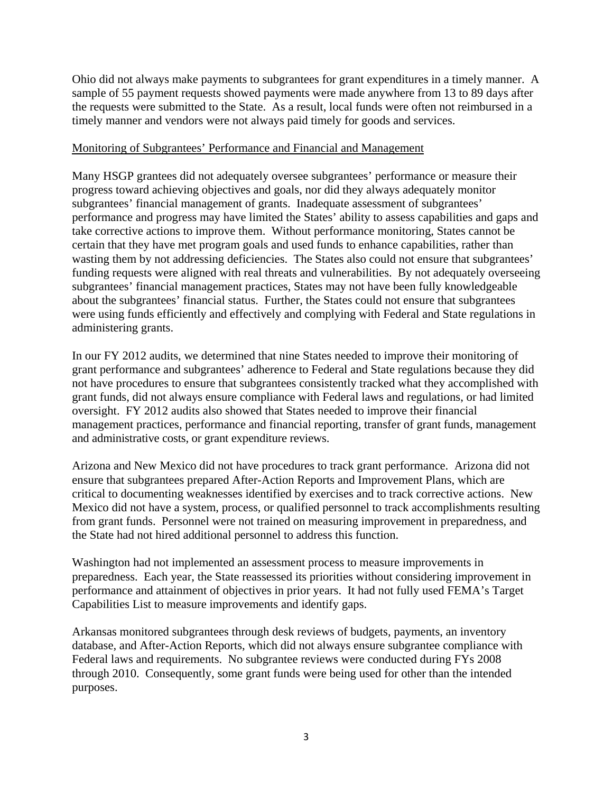Ohio did not always make payments to subgrantees for grant expenditures in a timely manner. A sample of 55 payment requests showed payments were made anywhere from 13 to 89 days after the requests were submitted to the State. As a result, local funds were often not reimbursed in a timely manner and vendors were not always paid timely for goods and services.

### Monitoring of Subgrantees' Performance and Financial and Management

Many HSGP grantees did not adequately oversee subgrantees' performance or measure their progress toward achieving objectives and goals, nor did they always adequately monitor subgrantees' financial management of grants. Inadequate assessment of subgrantees' performance and progress may have limited the States' ability to assess capabilities and gaps and take corrective actions to improve them. Without performance monitoring, States cannot be certain that they have met program goals and used funds to enhance capabilities, rather than wasting them by not addressing deficiencies. The States also could not ensure that subgrantees' funding requests were aligned with real threats and vulnerabilities. By not adequately overseeing subgrantees' financial management practices, States may not have been fully knowledgeable about the subgrantees' financial status. Further, the States could not ensure that subgrantees were using funds efficiently and effectively and complying with Federal and State regulations in administering grants.

In our FY 2012 audits, we determined that nine States needed to improve their monitoring of grant performance and subgrantees' adherence to Federal and State regulations because they did not have procedures to ensure that subgrantees consistently tracked what they accomplished with grant funds, did not always ensure compliance with Federal laws and regulations, or had limited oversight. FY 2012 audits also showed that States needed to improve their financial management practices, performance and financial reporting, transfer of grant funds, management and administrative costs, or grant expenditure reviews.

Arizona and New Mexico did not have procedures to track grant performance. Arizona did not ensure that subgrantees prepared After-Action Reports and Improvement Plans, which are critical to documenting weaknesses identified by exercises and to track corrective actions. New Mexico did not have a system, process, or qualified personnel to track accomplishments resulting from grant funds. Personnel were not trained on measuring improvement in preparedness, and the State had not hired additional personnel to address this function.

Washington had not implemented an assessment process to measure improvements in preparedness. Each year, the State reassessed its priorities without considering improvement in performance and attainment of objectives in prior years. It had not fully used FEMA's Target Capabilities List to measure improvements and identify gaps.

Arkansas monitored subgrantees through desk reviews of budgets, payments, an inventory database, and After-Action Reports, which did not always ensure subgrantee compliance with Federal laws and requirements. No subgrantee reviews were conducted during FYs 2008 through 2010. Consequently, some grant funds were being used for other than the intended purposes.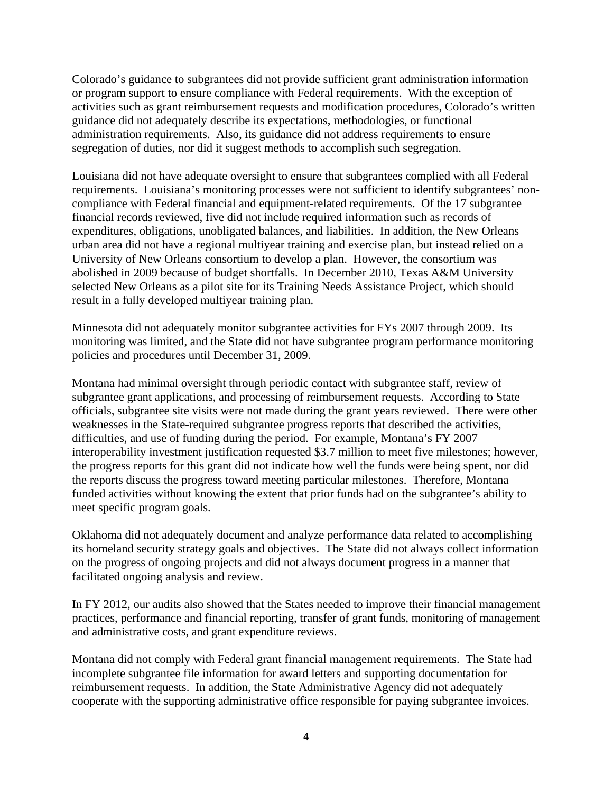Colorado's guidance to subgrantees did not provide sufficient grant administration information or program support to ensure compliance with Federal requirements. With the exception of activities such as grant reimbursement requests and modification procedures, Colorado's written guidance did not adequately describe its expectations, methodologies, or functional administration requirements. Also, its guidance did not address requirements to ensure segregation of duties, nor did it suggest methods to accomplish such segregation.

result in a fully developed multiyear training plan. Louisiana did not have adequate oversight to ensure that subgrantees complied with all Federal requirements. Louisiana's monitoring processes were not sufficient to identify subgrantees' noncompliance with Federal financial and equipment-related requirements. Of the 17 subgrantee financial records reviewed, five did not include required information such as records of expenditures, obligations, unobligated balances, and liabilities. In addition, the New Orleans urban area did not have a regional multiyear training and exercise plan, but instead relied on a University of New Orleans consortium to develop a plan. However, the consortium was abolished in 2009 because of budget shortfalls. In December 2010, Texas A&M University selected New Orleans as a pilot site for its Training Needs Assistance Project, which should

Minnesota did not adequately monitor subgrantee activities for FYs 2007 through 2009. Its monitoring was limited, and the State did not have subgrantee program performance monitoring policies and procedures until December 31, 2009.

Montana had minimal oversight through periodic contact with subgrantee staff, review of subgrantee grant applications, and processing of reimbursement requests. According to State officials, subgrantee site visits were not made during the grant years reviewed. There were other weaknesses in the State-required subgrantee progress reports that described the activities, difficulties, and use of funding during the period. For example, Montana's FY 2007 interoperability investment justification requested \$3.7 million to meet five milestones; however, the progress reports for this grant did not indicate how well the funds were being spent, nor did the reports discuss the progress toward meeting particular milestones. Therefore, Montana funded activities without knowing the extent that prior funds had on the subgrantee's ability to meet specific program goals.

Oklahoma did not adequately document and analyze performance data related to accomplishing its homeland security strategy goals and objectives. The State did not always collect information on the progress of ongoing projects and did not always document progress in a manner that facilitated ongoing analysis and review.

In FY 2012, our audits also showed that the States needed to improve their financial management practices, performance and financial reporting, transfer of grant funds, monitoring of management and administrative costs, and grant expenditure reviews.

Montana did not comply with Federal grant financial management requirements. The State had incomplete subgrantee file information for award letters and supporting documentation for reimbursement requests. In addition, the State Administrative Agency did not adequately cooperate with the supporting administrative office responsible for paying subgrantee invoices.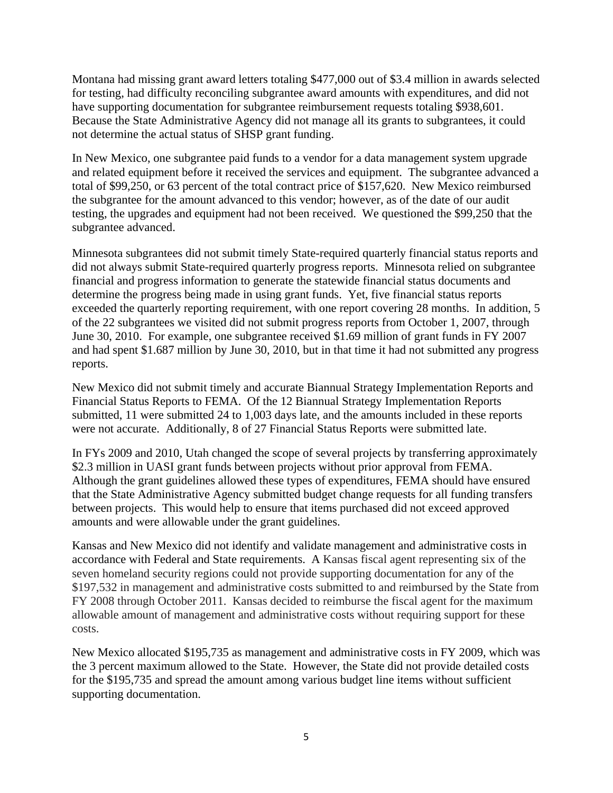Montana had missing grant award letters totaling \$477,000 out of \$3.4 million in awards selected for testing, had difficulty reconciling subgrantee award amounts with expenditures, and did not have supporting documentation for subgrantee reimbursement requests totaling \$938,601. Because the State Administrative Agency did not manage all its grants to subgrantees, it could not determine the actual status of SHSP grant funding.

In New Mexico, one subgrantee paid funds to a vendor for a data management system upgrade and related equipment before it received the services and equipment. The subgrantee advanced a total of \$99,250, or 63 percent of the total contract price of \$157,620. New Mexico reimbursed the subgrantee for the amount advanced to this vendor; however, as of the date of our audit testing, the upgrades and equipment had not been received. We questioned the \$99,250 that the subgrantee advanced.

Minnesota subgrantees did not submit timely State-required quarterly financial status reports and did not always submit State-required quarterly progress reports. Minnesota relied on subgrantee financial and progress information to generate the statewide financial status documents and determine the progress being made in using grant funds. Yet, five financial status reports exceeded the quarterly reporting requirement, with one report covering 28 months. In addition, 5 of the 22 subgrantees we visited did not submit progress reports from October 1, 2007, through June 30, 2010. For example, one subgrantee received \$1.69 million of grant funds in FY 2007 and had spent \$1.687 million by June 30, 2010, but in that time it had not submitted any progress reports.

New Mexico did not submit timely and accurate Biannual Strategy Implementation Reports and Financial Status Reports to FEMA. Of the 12 Biannual Strategy Implementation Reports submitted, 11 were submitted 24 to 1,003 days late, and the amounts included in these reports were not accurate. Additionally, 8 of 27 Financial Status Reports were submitted late.

In FYs 2009 and 2010, Utah changed the scope of several projects by transferring approximately \$2.3 million in UASI grant funds between projects without prior approval from FEMA. Although the grant guidelines allowed these types of expenditures, FEMA should have ensured that the State Administrative Agency submitted budget change requests for all funding transfers between projects. This would help to ensure that items purchased did not exceed approved amounts and were allowable under the grant guidelines.

Kansas and New Mexico did not identify and validate management and administrative costs in accordance with Federal and State requirements. A Kansas fiscal agent representing six of the seven homeland security regions could not provide supporting documentation for any of the \$197,532 in management and administrative costs submitted to and reimbursed by the State from FY 2008 through October 2011. Kansas decided to reimburse the fiscal agent for the maximum allowable amount of management and administrative costs without requiring support for these costs.

New Mexico allocated \$195,735 as management and administrative costs in FY 2009, which was the 3 percent maximum allowed to the State. However, the State did not provide detailed costs for the \$195,735 and spread the amount among various budget line items without sufficient supporting documentation.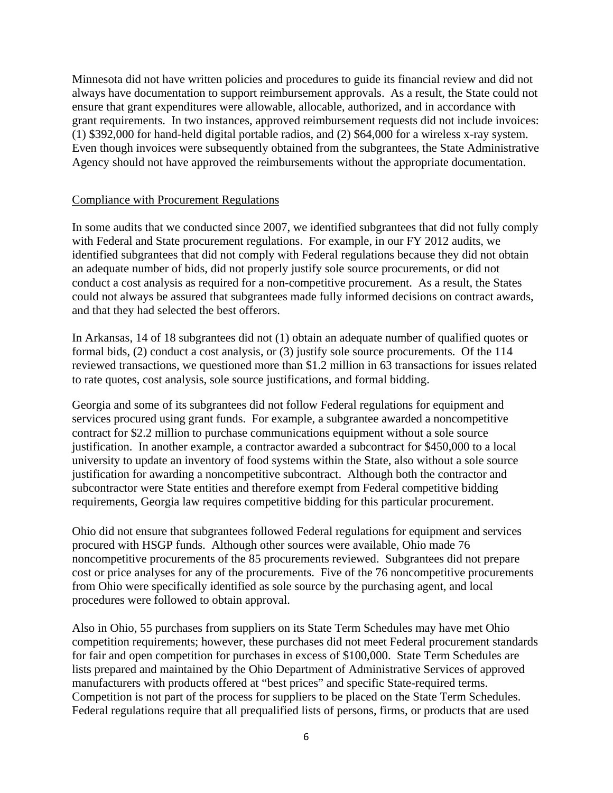Minnesota did not have written policies and procedures to guide its financial review and did not always have documentation to support reimbursement approvals. As a result, the State could not ensure that grant expenditures were allowable, allocable, authorized, and in accordance with grant requirements. In two instances, approved reimbursement requests did not include invoices: (1) \$392,000 for hand-held digital portable radios, and (2) \$64,000 for a wireless x-ray system. Even though invoices were subsequently obtained from the subgrantees, the State Administrative Agency should not have approved the reimbursements without the appropriate documentation.

#### Compliance with Procurement Regulations

In some audits that we conducted since 2007, we identified subgrantees that did not fully comply with Federal and State procurement regulations. For example, in our FY 2012 audits, we identified subgrantees that did not comply with Federal regulations because they did not obtain an adequate number of bids, did not properly justify sole source procurements, or did not conduct a cost analysis as required for a non-competitive procurement. As a result, the States could not always be assured that subgrantees made fully informed decisions on contract awards, and that they had selected the best offerors.

In Arkansas, 14 of 18 subgrantees did not (1) obtain an adequate number of qualified quotes or formal bids, (2) conduct a cost analysis, or (3) justify sole source procurements. Of the 114 reviewed transactions, we questioned more than \$1.2 million in 63 transactions for issues related to rate quotes, cost analysis, sole source justifications, and formal bidding.

Georgia and some of its subgrantees did not follow Federal regulations for equipment and services procured using grant funds. For example, a subgrantee awarded a noncompetitive contract for \$2.2 million to purchase communications equipment without a sole source justification. In another example, a contractor awarded a subcontract for \$450,000 to a local university to update an inventory of food systems within the State, also without a sole source justification for awarding a noncompetitive subcontract. Although both the contractor and subcontractor were State entities and therefore exempt from Federal competitive bidding requirements, Georgia law requires competitive bidding for this particular procurement.

Ohio did not ensure that subgrantees followed Federal regulations for equipment and services procured with HSGP funds. Although other sources were available, Ohio made 76 noncompetitive procurements of the 85 procurements reviewed. Subgrantees did not prepare cost or price analyses for any of the procurements. Five of the 76 noncompetitive procurements from Ohio were specifically identified as sole source by the purchasing agent, and local procedures were followed to obtain approval.

Also in Ohio, 55 purchases from suppliers on its State Term Schedules may have met Ohio competition requirements; however, these purchases did not meet Federal procurement standards for fair and open competition for purchases in excess of \$100,000. State Term Schedules are lists prepared and maintained by the Ohio Department of Administrative Services of approved manufacturers with products offered at "best prices" and specific State-required terms. Competition is not part of the process for suppliers to be placed on the State Term Schedules. Federal regulations require that all prequalified lists of persons, firms, or products that are used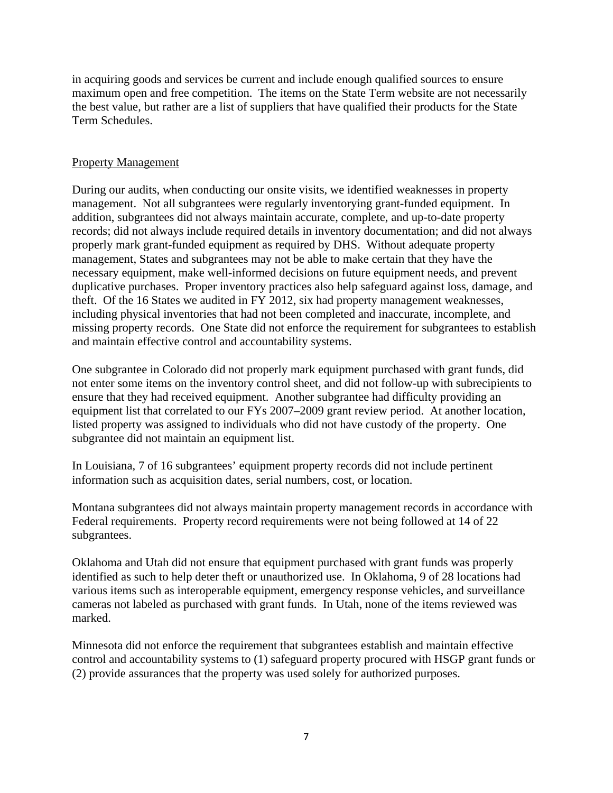in acquiring goods and services be current and include enough qualified sources to ensure maximum open and free competition. The items on the State Term website are not necessarily the best value, but rather are a list of suppliers that have qualified their products for the State Term Schedules.

### Property Management

During our audits, when conducting our onsite visits, we identified weaknesses in property management. Not all subgrantees were regularly inventorying grant-funded equipment. In addition, subgrantees did not always maintain accurate, complete, and up-to-date property records; did not always include required details in inventory documentation; and did not always properly mark grant-funded equipment as required by DHS. Without adequate property management, States and subgrantees may not be able to make certain that they have the necessary equipment, make well-informed decisions on future equipment needs, and prevent duplicative purchases. Proper inventory practices also help safeguard against loss, damage, and theft. Of the 16 States we audited in FY 2012, six had property management weaknesses, including physical inventories that had not been completed and inaccurate, incomplete, and missing property records. One State did not enforce the requirement for subgrantees to establish and maintain effective control and accountability systems.

One subgrantee in Colorado did not properly mark equipment purchased with grant funds, did not enter some items on the inventory control sheet, and did not follow-up with subrecipients to ensure that they had received equipment. Another subgrantee had difficulty providing an equipment list that correlated to our FYs 2007–2009 grant review period. At another location, listed property was assigned to individuals who did not have custody of the property. One subgrantee did not maintain an equipment list.

In Louisiana, 7 of 16 subgrantees' equipment property records did not include pertinent information such as acquisition dates, serial numbers, cost, or location.

Montana subgrantees did not always maintain property management records in accordance with Federal requirements. Property record requirements were not being followed at 14 of 22 subgrantees.

Oklahoma and Utah did not ensure that equipment purchased with grant funds was properly identified as such to help deter theft or unauthorized use. In Oklahoma, 9 of 28 locations had various items such as interoperable equipment, emergency response vehicles, and surveillance cameras not labeled as purchased with grant funds. In Utah, none of the items reviewed was marked.

Minnesota did not enforce the requirement that subgrantees establish and maintain effective control and accountability systems to (1) safeguard property procured with HSGP grant funds or (2) provide assurances that the property was used solely for authorized purposes.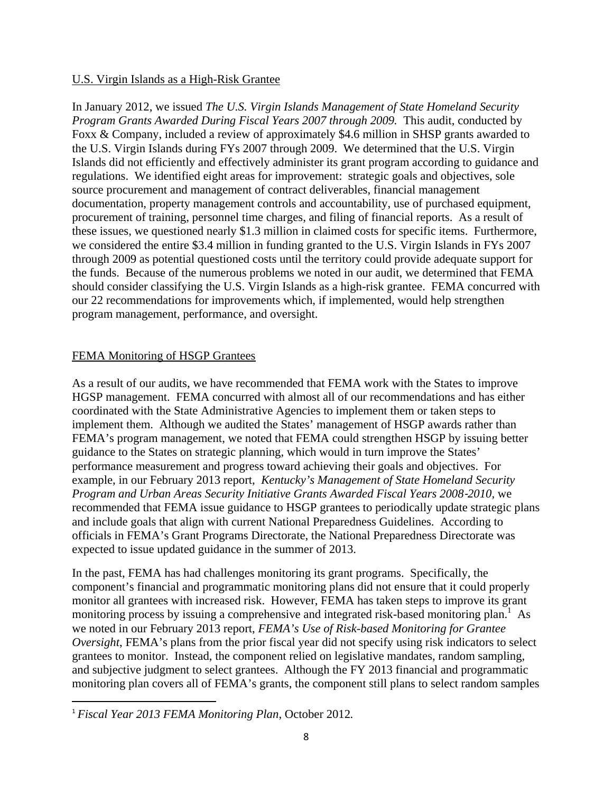### U.S. Virgin Islands as a High-Risk Grantee

In January 2012, we issued *The U.S. Virgin Islands Management of State Homeland Security Program Grants Awarded During Fiscal Years 2007 through 2009.* This audit, conducted by Foxx & Company, included a review of approximately \$4.6 million in SHSP grants awarded to the U.S. Virgin Islands during FYs 2007 through 2009. We determined that the U.S. Virgin Islands did not efficiently and effectively administer its grant program according to guidance and regulations. We identified eight areas for improvement: strategic goals and objectives, sole source procurement and management of contract deliverables, financial management documentation, property management controls and accountability, use of purchased equipment, procurement of training, personnel time charges, and filing of financial reports. As a result of these issues, we questioned nearly \$1.3 million in claimed costs for specific items. Furthermore, we considered the entire \$3.4 million in funding granted to the U.S. Virgin Islands in FYs 2007 through 2009 as potential questioned costs until the territory could provide adequate support for the funds. Because of the numerous problems we noted in our audit, we determined that FEMA should consider classifying the U.S. Virgin Islands as a high-risk grantee. FEMA concurred with our 22 recommendations for improvements which, if implemented, would help strengthen program management, performance, and oversight.

### FEMA Monitoring of HSGP Grantees

As a result of our audits, we have recommended that FEMA work with the States to improve HGSP management. FEMA concurred with almost all of our recommendations and has either coordinated with the State Administrative Agencies to implement them or taken steps to implement them. Although we audited the States' management of HSGP awards rather than FEMA's program management, we noted that FEMA could strengthen HSGP by issuing better guidance to the States on strategic planning, which would in turn improve the States' performance measurement and progress toward achieving their goals and objectives. For example, in our February 2013 report, *Kentucky's Management of State Homeland Security Program and Urban Areas Security Initiative Grants Awarded Fiscal Years 2008*‐*2010,* we recommended that FEMA issue guidance to HSGP grantees to periodically update strategic plans and include goals that align with current National Preparedness Guidelines. According to officials in FEMA's Grant Programs Directorate, the National Preparedness Directorate was expected to issue updated guidance in the summer of 2013.

In the past, FEMA has had challenges monitoring its grant programs. Specifically, the component's financial and programmatic monitoring plans did not ensure that it could properly monitor all grantees with increased risk. However, FEMA has taken steps to improve its grant monitoring process by issuing a comprehensive and integrated risk-based monitoring plan.<sup>1</sup> As we noted in our February 2013 report, *FEMA's Use of Risk-based Monitoring for Grantee Oversight*, FEMA's plans from the prior fiscal year did not specify using risk indicators to select grantees to monitor. Instead, the component relied on legislative mandates, random sampling, and subjective judgment to select grantees. Although the FY 2013 financial and programmatic monitoring plan covers all of FEMA's grants, the component still plans to select random samples

 <sup>1</sup> *Fiscal Year 2013 FEMA Monitoring Plan*, October 2012*.*